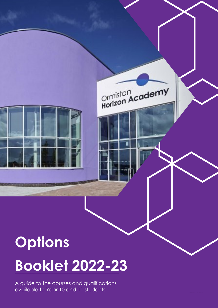# **Options Booklet 2022-23**

Ormiston Academy

A guide to the courses and qualifications available to Year 10 and 11 students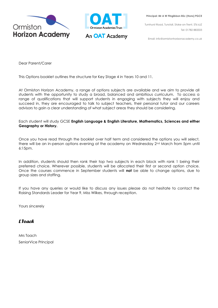



**Principal: Mr A W Fitzgibbon BSc (Hons) PGCE**

Turnhurst Road, Tunstall, Stoke-on-Trent, ST6 6JZ Tel: 01782 883333

Email: info@ormistonhorizonacademy.co.uk

Dear Parent/Carer

This Options booklet outlines the structure for Key Stage 4 in Years 10 and 11.

At Ormiston Horizon Academy, a range of options subjects are available and we aim to provide all students with the opportunity to study a broad, balanced and ambitious curriculum. To access a range of qualifications that will support students in engaging with subjects they will enjoy and succeed in, they are encouraged to talk to subject teachers, their personal tutor and our careers advisors to gain a clear understanding of what subject areas they should be considering.

Each student will study GCSE **English Language & English Literature, Mathematics, Sciences and either Geography or History.**

Once you have read through the booklet over half term and considered the options you will select, there will be an in-person options evening at the academy on Wednesday 2<sup>nd</sup> March from 5pm until 6:15pm.

In addition, students should then rank their top two subjects in each block with rank 1 being their preferred choice. Wherever possible, students will be allocated their first or second option choice. Once the courses commence in September students will **not** be able to change options, due to group sizes and staffing.

If you have any queries or would like to discuss any issues please do not hesitate to contact the Raising Standards Leader for Year 9, Miss Wilkes, through reception.

Yours sincerely

#### *L Toach*

Mrs Toach SeniorVice Principal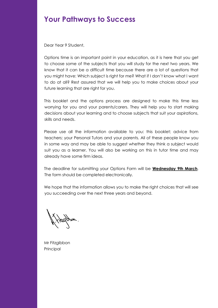### **Your Pathways to Success**

Dear Year 9 Student,

Options time is an important point in your education, as it is here that you get to choose some of the subjects that you will study for the next two years. We know that it can be a difficult time because there are a lot of questions that you might have: Which subject is right for me? What if I don't know what I want to do at all? Rest assured that we will help you to make choices about your future learning that are right for you.

This booklet and the options process are designed to make this time less worrying for you and your parents/carers. They will help you to start making decisions about your learning and to choose subjects that suit your aspirations, skills and needs.

Please use all the information available to you: this booklet; advice from teachers; your Personal Tutors and your parents. All of these people know you in some way and may be able to suggest whether they think a subject would suit you as a learner. You will also be working on this in tutor time and may already have some firm ideas.

The deadline for submitting your Options Form will be **Wednesday 9th March**. The form should be completed electronically.

We hope that the information allows you to make the right choices that will see you succeeding over the next three years and beyond.

Mr Fitzgibbon Principal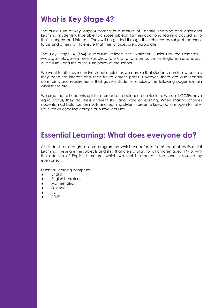# **What is Key Stage 4?**

The curriculum at Key Stage 4 consists of a mixture of Essential Learning and Additional Learning. Students will be able to choose subjects for their additional learning according to their strengths and interests. They will be guided through their choices by subject teachers, tutors and other staff to ensure that their choices are appropriate.

The Key Stage 4 (KS4) curriculum reflects the National Curriculum requirements www.gov.uk/government/publications/national-curriculum-in-England-secondarycurriculum - and the curriculum policy of the school.

We want to offer as much individual choice as we can, so that students can follow courses they need for interest and their future career paths. However, there are also certain constraints and requirements that govern students' choices: the following pages explain what these are.

We urge that all students opt for a broad and balanced curriculum. Whilst all GCSEs have equal status, they do stress different skills and ways of learning. When making choices students must balance their skills and learning styles in order to keep options open for later life, such as choosing college or A level courses.

### **Essential Learning: What does everyone do?**

All students are taught a core programme which we refer to in this booklet as Essential Learning. These are the subjects and skills that are statutory for all children aged 14-16, with the addition of English Literature, which we feel is important too, and is studied by everyone.

Essential Learning comprises:

- **+** English
- English Literature
- **Mathematics**
- Science
- PE
- PSHE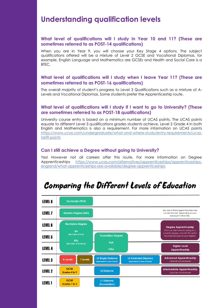## **Understanding qualification levels**

#### **What level of qualifications will I study in Year 10 and 11? (These are sometimes referred to as POST-14 qualifications)**

When you are in Year 9, you will choose your Key Stage 4 options. The subject qualifications offered will be a mixture of Level 2 GCSE and Vocational Diplomas, for example, English Language and Mathematics are GCSEs and Health and Social Care is a BTEC.

#### **What level of qualifications will I study when I leave Year 11? (These are sometimes referred to as POST-16 qualifications)**

The overall majority of student's progress to Level 3 Qualifications such as a mixture of A-Levels and Vocational Diplomas. Some students prefer the Apprenticeship route.

#### **What level of qualifications will I study if I want to go to University? (These are sometimes referred to as POST-18 qualifications)**

University course entry is based on a minimum number of UCAS points. The UCAS points equate to different Level 3 qualifications grades students achieve. Level 2 Grade 4 in both English and Mathematics is also a requirement. For more information on UCAS points https://www.ucas.com/undergraduate/what-and-where-study/entry-requirements/ucastariff-points

#### **Can I still achieve a Degree without going to University?**

Yes! However not all careers offer this route. For more information on Degree Apprenticeships https://www.ucas.com/alternatives/apprenticeships/apprenticeshipsengland/what-apprenticeships-are-available/degree-apprenticeships

# Comparing the Different Levels of Education

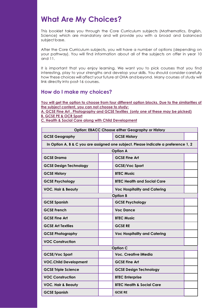# **What Are My Choices?**

This booklet takes you through the Core Curriculum subjects (Mathematics, English, Science) which are mandatory and will provide you with a broad and balanced subject base.

After the Core Curriculum subjects, you will have a number of options (depending on your pathway). You will find information about all of the subjects on offer in year 10 and 11.

It is important that you enjoy learning. We want you to pick courses that you find interesting, play to your strengths and develop your skills. You should consider carefully how these choices will affect your future at OHA and beyond. Many courses of study will link directly into post-16 courses.

### **How do I make my choices?**

**You will get the option to choose from four different option blocks. Due to the similarities of the subject content, you can not choose to study:**

**A. GCSE Fine Art , Photography and GCSE Textiles (only one of these may be picked) B. GCSE PE & OCR Sport**

**C. Health & Social Care along with Child Development**

| <b>Option: EBACC Choose either Geography or History</b>                            |  |                                      |  |  |
|------------------------------------------------------------------------------------|--|--------------------------------------|--|--|
| <b>GCSE Geography</b>                                                              |  | <b>GCSE History</b>                  |  |  |
| In Option A, B & C you are assigned one subject. Please indicate a preference 1, 2 |  |                                      |  |  |
| <b>Option A</b>                                                                    |  |                                      |  |  |
| <b>GCSE Drama</b>                                                                  |  | <b>GCSE Fine Art</b>                 |  |  |
| <b>GCSE Design Technology</b>                                                      |  | <b>GCSE/Voc Sport</b>                |  |  |
| <b>GCSE History</b>                                                                |  | <b>BTEC Music</b>                    |  |  |
| <b>GCSE Psychology</b>                                                             |  | <b>BTEC Health and Social Care</b>   |  |  |
| <b>VOC. Hair &amp; Beauty</b>                                                      |  | <b>Voc Hospitality and Catering</b>  |  |  |
| <b>Option B</b>                                                                    |  |                                      |  |  |
| <b>GCSE Spanish</b>                                                                |  | <b>GCSE Psychology</b>               |  |  |
| <b>GCSE French</b>                                                                 |  | <b>Voc Dance</b>                     |  |  |
| <b>GCSE Fine Art</b>                                                               |  | <b>BTEC Music</b>                    |  |  |
| <b>GCSE Art Textiles</b>                                                           |  | <b>GCSE RE</b>                       |  |  |
| <b>GCSE Photography</b>                                                            |  | <b>Voc Hospitality and Catering</b>  |  |  |
| <b>VOC Construction</b>                                                            |  |                                      |  |  |
| <b>Option C</b>                                                                    |  |                                      |  |  |
| <b>GCSE/Voc Sport</b>                                                              |  | Voc. Creative iMedia                 |  |  |
| <b>VOC.Child Development</b>                                                       |  | <b>GCSE Fine Art</b>                 |  |  |
| <b>GCSE Triple Science</b>                                                         |  | <b>GCSE Design Technology</b>        |  |  |
| <b>VOC Construction</b>                                                            |  | <b>BTEC Enterprise</b>               |  |  |
| <b>VOC. Hair &amp; Beauty</b>                                                      |  | <b>BTEC Health &amp; Social Care</b> |  |  |
| <b>GCSE Spanish</b>                                                                |  | <b>GCSE RE</b>                       |  |  |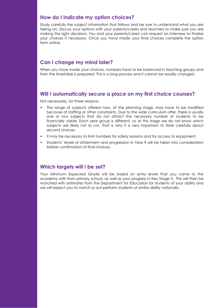#### **How do I indicate my option choices?**

Study carefully the subject information that follows and be sure to understand what you are taking on. Discuss your options with your parents/carers and teachers to make sure you are making the right decisions. You and your parents/carers can request an interview to finalise your choices if necessary. Once you have made your final choices complete the option form online.

### **Can I change my mind later?**

When you have made your choices, numbers have to be balanced in teaching groups and then the timetable is prepared. This is a long process and it cannot be readily changed.

#### **Will I automatically secure a place on my first choice courses?**

Not necessarily, for three reasons:

- The range of subjects offered now, at the planning stage, may have to be modified because of staffing or other constraints. Due to the wide curriculum offer, there is usually one or two subjects that do not attract the necessary number of students to be financially viable. Each year group is different, so at this stage we do not know which subjects are likely not to run. That is why it is very important to think carefully about second choices.
- It may be necessary to limit numbers for safety reasons and for access to equipment.
- Students' levels of attainment and progression in Year 9 will be taken into consideration before confirmation of final choices.

#### **Which targets will I be set?**

Your Minimum Expected Grade will be based on entry levels that you came to the academy with from primary school, as well as your progress in Key Stage 3. This will then be matched with estimates from the Department for Education for students of your ability and we will expect you to match or out-perform students of similar ability nationally.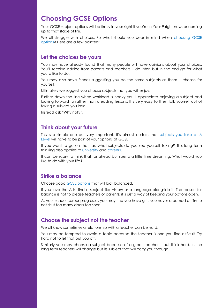### **Choosing GCSE Options**

Your GCSE subject options will be firmly in your sight if you're in Year 9 right now, or coming up to that stage of life.

We all struggle with choices. So what should you bear in mind when [choosing GCSE](https://www.studential.com/student-underground/gcse-subject-options-how-important-are-they)  [options?](https://www.studential.com/student-underground/gcse-subject-options-how-important-are-they) Here are a few pointers:

#### **Let the choices be yours**

You may have already found that many people will have opinions about your choices. You'll receive advice from parents and teachers - do listen but in the end go for what you'd like to do.

You may also have friends suggesting you do the same subjects as them – choose for yourself.

Ultimately we suggest you choose subjects that you will enjoy.

Further down the line when workload is heavy you'll appreciate enjoying a subject and looking forward to rather than dreading lessons. It's very easy to then talk yourself out of taking a subject you love.

Instead ask "Why not?".

#### **Think about your future**

This is a simple one but very important. It's almost certain that [subjects you take at A](https://www.studential.com/further-education/A-levels/how-to-choose-your-A-levels)  [Level](https://www.studential.com/further-education/A-levels/how-to-choose-your-A-levels) will have to be part of your options at GCSE.

If you want to go on that far, what subjects do you see yourself taking? This long term thinking also applies to [university](https://www.studential.com/university) and [careers.](https://www.studential.com/GCSEs/finding-a-job-after-school)

It can be scary to think that far ahead but spend a little time dreaming. What would you like to do with your life?

#### **Strike a balance**

Choose good [GCSE options](https://www.studential.com/student-underground/gcse-subject-options-how-important-are-they) that will look balanced.

If you love the Arts, find a subject like History or a language alongside it. The reason for balance is not to please teachers or parents; it's just a way of keeping your options open.

As your school career progresses you may find you have gifts you never dreamed of. Try to not shut too many doors too soon.

#### **Choose the subject not the teacher**

We all know sometimes a relationship with a teacher can be hard.

You may be tempted to avoid a topic because the teacher is one you find difficult. Try hard not to let that put you off.

Similarly you may choose a subject because of a great teacher – but think hard. In the long term teachers will change but its subject that will carry you through.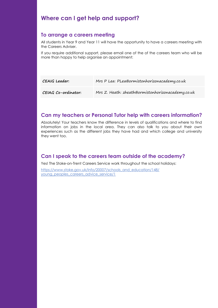### **Where can I get help and support?**

#### **To arrange a careers meeting**

All students in Year 9 and Year 11 will have the opportunity to have a careers meeting with the Careers Adviser.

If you require additional support, please email one of the of the careers team who will be more than happy to help organise an appointment:

| CEAIG Leader:       | Mrs P Lea: PLea@ormistonhorizonacademy.co.uk      |
|---------------------|---------------------------------------------------|
| CEIAG Co-ordinator: | Mrs Z. Heath: zheath@ormistonhorizonacademy.co.uk |

#### **Can my teachers or Personal Tutor help with careers information?**

Absolutely! Your teachers know the difference in levels of qualifications and where to find information on jobs in the local area. They can also talk to you about their own experiences such as the different jobs they have had and which college and university they went too.

#### **Can I speak to the careers team outside of the academy?**

Yes! The Stoke-on-Trent Careers Service work throughout the school holidays:

[https://www.stoke.gov.uk/info/20007/schools\\_and\\_education/148/](https://www.stoke.gov.uk/info/20007/schools_and_education/148/young_peoples_careers_advice_service/1) [young\\_peoples\\_careers\\_advice\\_service/1](https://www.stoke.gov.uk/info/20007/schools_and_education/148/young_peoples_careers_advice_service/1)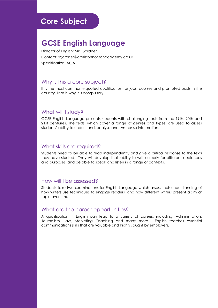### **GCSE English Language**

Director of English: Mrs Gardner Contact: sgardner@ormistonhorizonacademy.co.uk Specification: AQA

#### Why is this a core subject?

It is the most commonly-quoted qualification for jobs, courses and promoted posts in the country. That is why it is compulsory.

#### What will I study?

GCSE English Language presents students with challenging texts from the 19th, 20th and 21st centuries. The texts, which cover a range of genres and types, are used to assess students' ability to understand, analyse and synthesise information.

#### What skills are required?

Students need to be able to read independently and give a critical response to the texts they have studied. They will develop their ability to write clearly for different audiences and purposes, and be able to speak and listen in a range of contexts.

#### How will I be assessed?

Students take two examinations for English Language which assess their understanding of how writers use techniques to engage readers, and how different writers present a similar topic over time.

#### What are the career opportunities?

A qualification in English can lead to a variety of careers including: Administration, Journalism, Law, Marketing, Teaching and many more. English teaches essential communications skills that are valuable and highly sought by employers.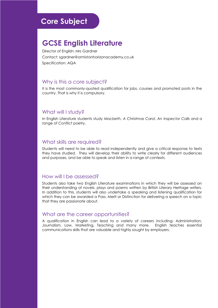### **GCSE English Literature**

Director of English: Mrs Gardner Contact: sgardner@ormistonhorizonacademy.co.uk Specification: AQA

#### Why is this a core subject?

It is the most commonly-quoted qualification for jobs, courses and promoted posts in the country. That is why it is compulsory.

#### What will I study?

In English Literature students study *Macbeth*, *A Christmas Carol*, *An Inspector Calls* and a range of *Conflict* poetry.

#### What skills are required?

Students will need to be able to read independently and give a critical response to texts they have studied. They will develop their ability to write clearly for different audiences and purposes, and be able to speak and listen in a range of contexts.

#### How will I be assessed?

Students also take two English Literature examinations in which they will be assessed on their understanding of novels, plays and poems written by British Literary Heritage writers. In addition to this, students will also undertake a speaking and listening qualification for which they can be awarded a Pass, Merit or Distinction for delivering a speech on a topic that they are passionate about.

#### What are the career opportunities?

A qualification in English can lead to a variety of careers including: Administration, Journalism, Law, Marketing, Teaching and many more. English teaches essential communications skills that are valuable and highly sought by employers.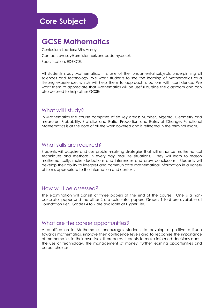### **GCSE Mathematics**

Curriculum Leaders: Miss Vasey Contact: avasey@ormistonhorizonacademy.co.uk Specification: EDEXCEL

All students study Mathematics. It is one of the fundamental subjects underpinning all sciences and technology. We want students to see the learning of Mathematics as a lifelong experience, which will help them to approach situations with confidence. We want them to appreciate that Mathematics will be useful outside the classroom and can also be used to help other GCSEs.

#### What will I study?

In Mathematics the course comprises of six key areas: Number, Algebra, Geometry and measures, Probability, Statistics and Ratio, Proportion and Rates of Change. Functional Mathematics is at the core of all the work covered and is reflected in the terminal exam.

#### What skills are required?

Students will acquire and use problem-solving strategies that will enhance mathematical techniques and methods in every day, real life situations. They will learn to reason mathematically, make deductions and inferences and draw conclusions. Students will develop their ability to interpret and communicate mathematical information in a variety of forms appropriate to the information and context.

#### How will I be assessed?

The examination will consist of three papers at the end of the course. One is a noncalculator paper and the other 2 are calculator papers. Grades 1 to 5 are available at Foundation Tier. Grades 4 to 9 are available at Higher Tier.

#### What are the career opportunities?

A qualification in Mathematics encourages students to develop a positive attitude towards mathematics, improve their confidence levels and to recognise the importance of mathematics in their own lives. It prepares students to make informed decisions about the use of technology, the management of money, further learning opportunities and career choices.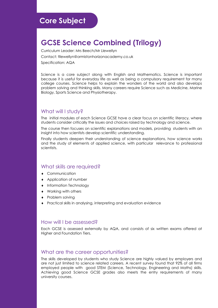# **GCSE Science Combined (Trilogy)**

Curriculum Leader: Mrs Beech/Mr Llewellyn Contact: tllewellyn@ormistonhorizonacademy.co.uk Specification: AQA

Science is a core subject along with English and Mathematics. Science is important because it is useful for everyday life as well as being a compulsory requirement for many college courses. Science helps to explain the wonders of the world and also develops problem solving and thinking skills. Many careers require Science such as Medicine, Marine Biology, Sports Science and Physiotherapy.

#### What will I study?

The initial modules of each Science GCSE have a clear focus on scientific literacy, where students consider critically the issues and choices raised by technology and science.

The course then focuses on scientific explanations and models, providing students with an insight into how scientists develop scientific understanding.

Finally students deepen their understanding of science explanations, how science works and the study of elements of applied science, with particular relevance to professional scientists.

#### What skills are required?

- Communication
- ◆ Application of number
- Information Technology
- Working with others
- Problem solving
- Practical skills in analysing, interpreting and evaluation evidence

#### How will I be assessed?

Each GCSE is assessed externally by AQA, and consists of six written exams offered at Higher and Foundation Tiers.

#### What are the career opportunities?

The skills developed by students who study Science are highly valued by employers and are not just limited to science related careers. A recent survey found that 92% of all firms employed people with good STEM (Science, Technology, Engineering and Maths) skills. Achieving good Science GCSE grades also meets the entry requirements of many university courses.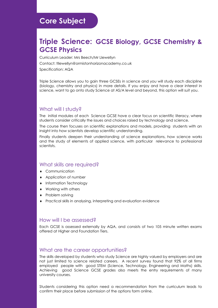### **Triple Science: GCSE Biology, GCSE Chemistry & GCSE Physics**

Curriculum Leader: Mrs Beech/Mr Llewellyn Contact: tllewellyn@ormistonhorizonacademy.co.uk Specification: AQA

Triple Science allows you to gain three GCSEs in science and you will study each discipline (biology, chemistry and physics) in more details. If you enjoy and have a clear interest in science, want to go onto study Science at AS/A level and beyond, this option will suit you.

### What will I study?

The initial modules of each Science GCSE have a clear focus on scientific literacy, where students consider critically the issues and choices raised by technology and science.

The course then focuses on scientific explanations and models, providing students with an insight into how scientists develop scientific understanding.

Finally students deepen their understanding of science explanations, how science works and the study of elements of applied science, with particular relevance to professional scientists.

#### What skills are required?

- Communication
- Application of number
- Information Technology
- Working with others
- Problem solving
- Practical skills in analysing, interpreting and evaluation evidence

#### How will I be assessed?

Each GCSE is assessed externally by AQA, and consists of two 105 minute written exams offered at Higher and Foundation Tiers.

### What are the career opportunities?

The skills developed by students who study Science are highly valued by employers and are not just limited to science related careers. A recent survey found that 92% of all firms employed people with good STEM (Science, Technology, Engineering and Maths) skills. Achieving good Science GCSE grades also meets the entry requirements of many university courses.

Students considering this option need a recommendation from the curriculum leads to confirm their place before submission of the options form online.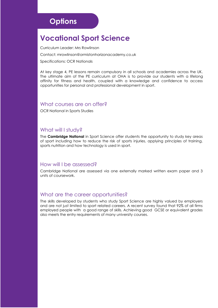# **Vocational Sport Science**

Curriculum Leader: Mrs Rowlinson

Contact: mrowlinson@ormistonhorizonacademy.co.uk

Specifications: OCR Nationals

At key stage 4, PE lessons remain compulsory in all schools and academies across the UK. The ultimate aim of the PE curriculum at OHA is to provide our students with a lifelong affinity for fitness and health, coupled with a knowledge and confidence to access opportunities for personal and professional development in sport.

#### What courses are on offer?

OCR National in Sports Studies

#### What will I study?

The **Cambridge National** in Sport Science offer students the opportunity to study key areas of sport including how to reduce the risk of sports injuries, applying principles of training, sports nutrition and how technology is used in sport.

#### How will I be assessed?

Cambridge National are assessed via one externally marked written exam paper and 3 units of coursework.

#### What are the career opportunities?

The skills developed by students who study Sport Science are highly valued by employers and are not just limited to sport related careers. A recent survey found that 92% of all firms employed people with a good range of skills. Achieving good GCSE or equivalent grades also meets the entry requirements of many university courses.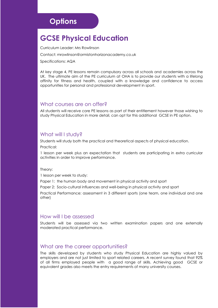# **GCSE Physical Education**

Curriculum Leader: Mrs Rowlinson

Contact: mrowlinson@ormistonhorizonacademy.co.uk

Specifications: AQA

At key stage 4, PE lessons remain compulsory across all schools and academies across the UK. The ultimate aim of the PE curriculum at OHA is to provide our students with a lifelong affinity for fitness and health, coupled with a knowledge and confidence to access opportunities for personal and professional development in sport.

#### What courses are on offer?

All students will receive core PE lessons as part of their entitlement however those wishing to study Physical Education in more detail, can opt for this additional GCSE in PE option.

### What will I study?

Students will study both the practical and theoretical aspects of physical education.

Practical:

1 lesson per week plus an expectation that students are participating in extra curricular activities in order to improve performance.

#### Theory:

1 lesson per week to study:

Paper 1: the human body and movement in physical activity and sport

Paper 2: Socio-cultural influences and well-being in physical activity and sport

Practical Performance: assessment in 3 different sports (one team, one individual and one other)

#### How will I be assessed

Students will be assessed via two written examination papers and one externally moderated practical performance.

#### What are the career opportunities?

The skills developed by students who study Physical Education are highly valued by employers and are not just limited to sport related careers. A recent survey found that 92% of all firms employed people with a good range of skills. Achieving good GCSE or equivalent grades also meets the entry requirements of many university courses.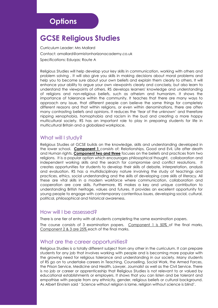# **GCSE Religious Studies**

Curriculum Leader: Mrs Mallard Contact: amallard@ormistonhorizonacademy.co.uk Specifications: Eduqas; Route A

Religious Studies will help develop your key skills in communication, working with others and problem solving . It will also give you skills in making decisions about moral problems and help you to become sure about your own beliefs and explain them clearly to others. It will enhance your ability to argue your own viewpoints clearly and concisely, but also learn to understand the viewpoints of others. RS develops learners' knowledge and understanding of religions and non-religious beliefs, such as atheism and humanism. It shows the importance of tolerance within the community. It teaches that there are many ways to approach any issue, that different people can believe the same things for completely different reasons and that within religions, or even within denominations, there are often many contrasting beliefs and opinions. It reduces the 'fear of the unknown' and therefore nipping xenophobia, homophobia and racism in the bud and creating a more happy multicultural society. RS has an important role to play in preparing students for life in multicultural Britain and a globalized workplace.

#### What will I study?

Religious Studies at GCSE builds on the knowledge, skills and understanding developed in the lower school. **Component 1** consists of; Relationships, Good and Evil, Life after death and Human rights. **Component two and three** focuses on the beliefs and practices from two religions. It is a popular option which encourages philosophical thought, collaboration and independent working skills and the search for compromise and conflict resolutions. It creates opportunities for students to develop their skills of debate, interpretation, analysis and evaluation. RS has a multidisciplinary nature involving the study of teachings and practices, ethics, social understanding and the skills of developing core skills of literacy. All these are vital skills in a modern workforce where communication, collaboration and cooperation are core skills. Furthermore, RS makes a key and unique contribution to understanding British heritage, values and futures. It provides an excellent opportunity for young people to engage with contemporary contentious issues, developing social, cultural, political, philosophical and historical awareness.

#### How will I be assessed?

There is one tier of entry with all students completing the same examination papers.

The course consists of 3 examination papers. Component 1 is 50% of the final marks, Component 2 & 3 are 25% each of the final marks.

#### What are the career opportunities?

Religious Studies is a totally different subject from any other in the curriculum. It can prepare students for any job that involves working with people and is becoming more popular with the growing need for religious tolerance and understanding in our society. Many students of RS go on to undertake careers in Teaching, Counselling, Social Work, the Armed Forces, the Prison Service, Medicine and Health, Lawyer, Journalist as well as the Civil Service. There is no job or career or apprenticeship that Religious Studies is not relevant to or valued by educational establishments or employers. It shows that you can listen and be tolerant and empathise with people from any ethnicity, gender, religious beliefs or cultural background. As Albert Einstein said ' Science without religion is lame, religion without science is blind'.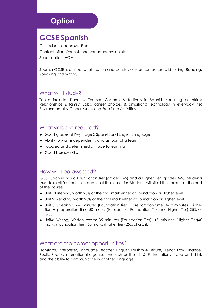# **GCSE Spanish**

Curriculum Leader: Mrs Fleet Contact: sfleet@ormistonhorizonacademy.co.uk Specification: AQA

Spanish GCSE is a linear qualification and consists of four components; Listening, Reading, Speaking and Writing.

### What will I study?

Topics include: Travel & Tourism; Customs & festivals in Spanish speaking countries; Relationships & family; Jobs, career choices & ambitions; Technology in everyday life; Environmental & Global issues, and Free Time Activities.

#### What skills are required?

- Good grades at Key Stage 3 Spanish and English Language
- Ability to work independently and as part of a team
- Focused and determined attitude to learning
- ◆ Good literacy skills.

#### How will I be assessed?

GCSE Spanish has a Foundation Tier (grades 1–5) and a Higher Tier (grades 4–9). Students must take all four question papers at the same tier. Students will sit all their exams at the end of the course.

- Unit 1:Listening; worth 25% of the final mark either at Foundation or Higher level
- Unit 2: Reading; worth 25% of the final mark either at Foundation or Higher level
- Unit 3: Speaking; 7–9 minutes (Foundation Tier) + preparation time10–12 minutes (Higher Tier) + preparation time 60 marks (for each of Foundation Tier and Higher Tier) 25% of GCSE
- Unit4: Writing; Written exam: 35 minutes (Foundation Tier), 45 minutes (Higher Tier)40 marks (Foundation Tier), 50 marks (Higher Tier) 25% of GCSE

### What are the career opportunities?

Translator, Interpreter, Language Teacher, Linguist, Tourism & Leisure, French Law, Finance, Public Sector, international organisations such as the UN & EU institutions , food and drink and the ability to communicate in another language.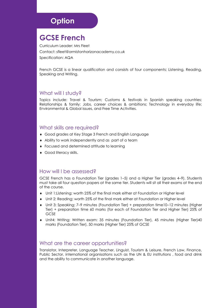# **GCSE French**

Curriculum Leader: Mrs Fleet Contact: sfleet@ormistonhorizonacademy.co.uk Specification: AQA

French GCSE is a linear qualification and consists of four components; Listening, Reading, Speaking and Writing.

### What will I study?

Topics include: Travel & Tourism; Customs & festivals in Spanish speaking countries; Relationships & family; Jobs, career choices & ambitions; Technology in everyday life; Environmental & Global issues, and Free Time Activities.

#### What skills are required?

- Good grades at Key Stage 3 French and English Language
- Ability to work independently and as part of a team
- Focused and determined attitude to learning
- Good literacy skills.

#### How will I be assessed?

GCSE French has a Foundation Tier (grades 1–5) and a Higher Tier (grades 4–9). Students must take all four question papers at the same tier. Students will sit all their exams at the end of the course.

- Unit 1:Listening; worth 25% of the final mark either at Foundation or Higher level
- Unit 2: Reading; worth 25% of the final mark either at Foundation or Higher level
- Unit 3: Speaking; 7–9 minutes (Foundation Tier) + preparation time10–12 minutes (Higher Tier) + preparation time 60 marks (for each of Foundation Tier and Higher Tier) 25% of GCSE
- Unit4: Writing; Written exam: 35 minutes (Foundation Tier), 45 minutes (Higher Tier)40 marks (Foundation Tier), 50 marks (Higher Tier) 25% of GCSE

### What are the career opportunities?

Translator, Interpreter, Language Teacher, Linguist, Tourism & Leisure, French Law, Finance, Public Sector, international organisations such as the UN & EU institutions , food and drink and the ability to communicate in another language.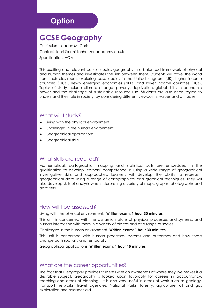# **GCSE Geography**

Curriculum Leader: Mr Cork Contact: lcork@ormistonhorizonacademy.co.uk Specification: AQA

This exciting and relevant course studies geography in a balanced framework of physical and human themes and investigates the link between them. Students will travel the world from their classroom, exploring case studies in the United Kingdom (UK), higher income countries (HICs), newly emerging economies (NEEs) and lower income countries (LICs). Topics of study include climate change, poverty, deprivation, global shifts in economic power and the challenge of sustainable resource use. Students are also encouraged to understand their role in society, by considering different viewpoints, values and attitudes.

#### What will I study?

- Living with the physical environment
- Challenges in the human environment
- Geographical applications
- Geographical skills

#### What skills are required?

Mathematical, cartographic, mapping and statistical skills are embedded in the qualification to develop learners' competence in using a wide range of geographical investigative skills and approaches. Learners will develop the ability to represent geographical data using a range of cartographical and graphical techniques. They will also develop skills of analysis when interpreting a variety of maps, graphs, photographs and data sets.

#### How will I be assessed?

Living with the physical environment: **Written exam: 1 hour 30 minutes**

This unit is concerned with the dynamic nature of physical processes and systems, and human interaction with them in a variety of places and at a range of scales.

Challenges in the human environment: **Written exam: 1 hour 30 minutes**

This unit is concerned with human processes, systems and outcomes and how these change both spatially and temporally

Geographical applications: **Written exam: 1 hour 15 minutes**

#### What are the career opportunities?

The fact that Geography provides students with an awareness of where they live makes it a desirable subject. Geography is looked upon favorably for careers in accountancy, teaching and areas of planning. It is also very useful in areas of work such as geology, transport networks, travel agencies, National Parks, forestry, agriculture, oil and gas exploration and oversees aid.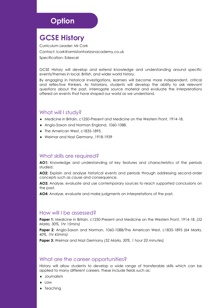# **GCSE History**

Curriculum Leader: Mr Cork Contact: lcork@ormistonhorizonacademy.co.uk Specification: Edexcel

GCSE History will develop and extend knowledge and understanding around specific events/themes in local, British, and wider world history.

By engaging in historical investigations, learners will become more independent, critical and reflective thinkers. As historians, students will develop the ability to ask relevant questions about the past, interrogate source material and evaluate the interpretations offered on events that have shaped our world as we understand.

#### What will I study?

- Medicine in Britain, c1250-Present *and* Medicine on the Western Front, 1914-18.
- Anglo-Saxon and Norman England, 1060-1088.
- ◆ The American West, c1835-1895.
- Weimar and Nazi Germany, 1918-1939

### What skills are required?

**AO1:** Knowledge and understanding of key features and characteristics of the periods studied.

**AO2:** Explain and analyse historical events and periods through addressing second-order concepts such as cause and consequence.

**AO3:** Analyse, evaluate and use contemporary sources to reach supported conclusions on the past.

**AO4:** Analyse, evaluate and make judgments on interpretations of the past.

#### How will I be assessed?

**Paper 1:** Medicine in Britain, c1250-Present *and* Medicine on the Western Front, 1914-18. *(52 Marks, 30%, 1hr 15mins)*

**Paper 2:** Anglo-Saxon and Norman, 1060-1088/The American West, c1835-1895 *(64 Marks, 40%, 1hr 45mins)*

**Paper 3:** Weimar and Nazi Germany *(52 Marks, 30%, 1 hour 20 minutes)*

### What are the career opportunities?

History will allow students to develop a wide range of transferable skills which can be applied to many different careers. These include fields such as:

- **+** Journalism
- $\bullet$  Law
- $\bullet$  Teaching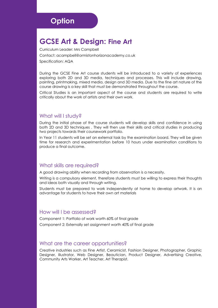### **GCSE Art & Design: Fine Art**

Curriculum Leader: Mrs Campbell Contact: acampbell@ormistonhorizonacademy.co.uk Specification: AQA

During the GCSE Fine Art course students will be introduced to a variety of experiences exploring both 2D and 3D media, techniques and processes. This will include drawing, painting, printmaking, mixed media, design and 3D media. Due to the fine art nature of the course drawing is a key skill that must be demonstrated throughout the course.

Critical Studies is an important aspect of the course and students are required to write critically about the work of artists and their own work.

#### What will I study?

During the initial phase of the course students will develop skills and confidence in using both 2D and 3D techniques . They will then use their skills and critical studies in producing two projects towards their coursework portfolio.

In Year 11 students will be set an external task by the examination board. They will be given time for research and experimentation before 10 hours under examination conditions to produce a final outcome.

#### What skills are required?

A good drawing ability when recording from observation is a necessity.

Writing is a compulsory element, therefore students must be willing to express their thoughts and ideas both visually and through writing.

Students must be prepared to work independently at home to develop artwork. It is an advantage for students to have their own art materials

#### How will I be assessed?

Component 1: Portfolio of work worth 60% of final grade Component 2: Externally set assignment worth 40% of final grade

### What are the career opportunities?

Creative industries such as Fine Artist, Ceramicist, Fashion Designer, Photographer, Graphic Designer, Illustrator, Web Designer, Beautician, Product Designer, Advertising Creative, Community Arts Worker, Art Teacher, Art Therapist.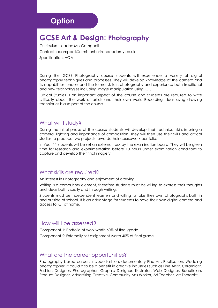# **GCSE Art & Design: Photography**

Curriculum Leader: Mrs Campbell Contact: acampbell@ormistonhorizonacademy.co.uk Specification: AQA

During the GCSE Photography course students will experience a variety of digital photography techniques and processes. They will develop knowledge of the camera and its capabilities, understand the formal skills in photography and experience both traditional and new technologies including image manipulation using ICT.

Critical Studies is an important aspect of the course and students are required to write critically about the work of artists and their own work. Recording ideas using drawing techniques is also part of the course.

#### What will I study?

During the initial phase of the course students will develop their technical skills in using a camera, lighting and importance of composition. They will then use their skills and critical studies to produce two projects towards their coursework portfolio.

In Year 11 students will be set an external task by the examination board. They will be given time for research and experimentation before 10 hours under examination conditions to capture and develop their final imagery.

#### What skills are required?

An interest in Photography and enjoyment of drawing.

Writing is a compulsory element, therefore students must be willing to express their thoughts and ideas both visually and through writing.

Students must be independent learners and willing to take their own photographs both in and outside of school. It is an advantage for students to have their own digital camera and access to ICT at home.

#### How will I be assessed?

Component 1: Portfolio of work worth 60% of final grade Component 2: Externally set assignment worth 40% of final grade

### What are the career opportunities?

Photography based careers include fashion, documentary Fine Art, Publication, Wedding photographer. It could also be a benefit in creative industries such as Fine Artist, Ceramicist, Fashion Designer, Photographer, Graphic Designer, Illustrator, Web Designer, Beautician, Product Designer, Advertising Creative, Community Arts Worker, Art Teacher, Art Therapist.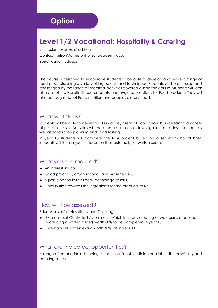# **Level 1/2 Vocational: Hospitality & Catering**

Curriculum Leader: Miss Elson Contact: selson@ormistonhorizonacademy.co.uk Specification: Eduqas

The course is designed to encourage students to be able to develop and make a range of food products, using a variety of ingredients and techniques. Students will be enthused and challenged by the range of practical activities covered during the course. Students will look at areas of the Hospitality sector, safety and hygiene practices for Food products. They will also be taught about Food nutrition and peoples dietary needs.

#### What will I study?

Students will be able to develop skills in all key areas of Food through undertaking a variety of practical tasks. Activities will focus on areas such as investigation, and development, as well as production planning and Food tasting.

In year 10 students will complete the NEA project based on a set exam board brief. Students will then in year 11 focus on their externally set written exam.

#### What skills are required?

- An interest in Food.
- Good practical, organisational and hygiene skills.
- A participation in KS3 Food Technology lessons.
- Contribution towards the ingredients for the practical tasks .

#### How will I be assessed?

Eduqas Level 1/2 Hospitality and Catering:

- Externally set Controlled Assessment (Which includes creating a two course meal and producing a written folder) worth 60% to be completed in year 10
- Externally set written exam worth 40% sat in year 11

#### What are the career opportunities?

A range of careers include being a chef, nutritionist, dietician or a job in the hospitality and catering sector.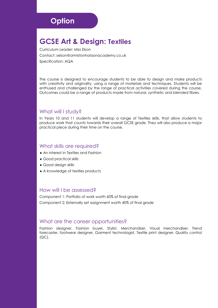# **GCSE Art & Design: Textiles**

Curriculum Leader: Miss Elson Contact: selson@ormistonhorizonacademy.co.uk Specification: AQA

The course is designed to encourage students to be able to design and make products with creativity and originality, using a range of materials and techniques. Students will be enthused and challenged by the range of practical activities covered during the course. Outcomes could be a range of products made from natural, synthetic and blended fibres.

#### What will I study?

In Years 10 and 11 students will develop a range of Textiles skills, that allow students to produce work that counts towards their overall GCSE grade. They will also produce a major practical piece during their time on the course.

#### What skills are required?

- An interest in Textiles and Fashion
- Good practical skills
- Good design skills
- A knowledge of textiles products

#### How will I be assessed?

Component 1: Portfolio of work worth 60% of final grade Component 2: Externally set assignment worth 40% of final grade

### What are the career opportunities?

Fashion designer, Fashion buyer, Stylist, Merchandiser, Visual merchandiser. Trend forecaster, footwear designer, Garment technologist, Textile print designer, Quality control  $[QC]$ .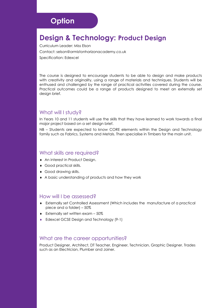# **Design & Technology: Product Design**

Curriculum Leader: Miss Elson Contact: selson@ormistonhorizonacademy.co.uk Specification: Edexcel

The course is designed to encourage students to be able to design and make products with creativity and originality, using a range of materials and techniques. Students will be enthused and challenged by the range of practical activities covered during the course. Practical outcomes could be a range of products designed to meet an externally set design brief.

#### What will I study?

In Years 10 and 11 students will use the skills that they have learned to work towards a final major project based on a set design brief.

NB – Students are expected to know CORE elements within the Design and Technology family such as Fabrics, Systems and Metals. Then specialise in Timbers for the main unit.

#### What skills are required?

- An interest in Product Design.
- Good practical skills.
- ◆ Good drawing skills.
- A basic understanding of products and how they work

#### How will I be assessed?

- Externally set Controlled Assessment (Which includes the manufacture of a practical piece and a folder) – 50%
- $\triangleleft$  Externally set written exam 50%
- ◆ Edexcel GCSE Design and Technology (9-1)

#### What are the career opportunities?

Product Designer, Architect, DT Teacher, Engineer, Technician, Graphic Designer. Trades such as an Electrician, Plumber and Joiner.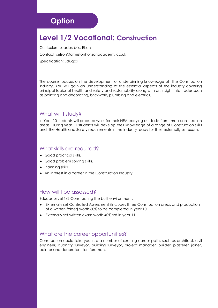# **Level 1/2 Vocational: Construction**

Curriculum Leader: Miss Elson

Contact: selson@ormistonhorizonacademy.co.uk

Specification: Eduqas

The course focuses on the development of underpinning knowledge of the Construction industry. You will gain an understanding of the essential aspects of the industry covering principal topics of health and safety and sustainability along with an insight into trades such as painting and decorating, brickwork, plumbing and electrics.

### What will I study?

In Year 10 students will produce work for their NEA carrying out tasks from three construction areas. During year 11 students will develop their knowledge of a range of Construction skills and the Health and Safety requirements in the industry ready for their externally set exam.

#### What skills are required?

- Good practical skills.
- ◆ Good problem solving skills.
- Planning skills
- An interest in a career in the Construction Industry.

#### How will I be assessed?

Eduqas Level 1/2 Constructing the built environment:

- Externally set Controlled Assessment (Includes three Construction areas and production of a written folder) worth 60% to be completed in year 10
- Externally set written exam worth 40% sat in year 11

### What are the career opportunities?

Construction could take you into a number of exciting career paths such as architect, civil engineer, quantity surveyor, building surveyor, project manager, builder, plasterer, joiner, painter and decorator, tiler, foreman.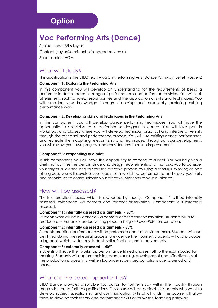# **Voc Performing Arts (Dance)**

Subject Lead: Miss Taylor Contact: jtaylor@ormistonhorizonacademy.co.uk Specification: AQA

### What will I study?

This qualification is the BTEC Tech Award in Performing Arts (Dance Pathway) Level 1/Level 2

#### **Component 1: Exploring the Performing Arts**

In this component you will develop an understanding for the requirements of being a performer in dance across a range of performances and performance styles. You will look at elements such as roles, responsibilities and the application of skills and techniques. You will broaden your knowledge through observing and practically exploring existing performance work.

#### **Component 2: Developing skills and techniques in the Performing Arts**

In this component, you will develop dance performing techniques. You will have the opportunity to specialise as a performer or designer in dance. You will take part in workshops and classes where you will develop technical, practical and interpretative skills through the rehearsal and performance process. You will use existing dance performance and recreate them applying relevant skills and techniques. Throughout your development, you will review your own progress and consider how to make improvements.

#### **Component 3: Responding to a brief**

In this component, you will have the opportunity to respond to a brief. You will be given a brief that outlines the performance and design requirements and that asks you to consider your target audience and to start the creative process by using a stimulus. Working as part of a group, you will develop your ideas for a workshop performance and apply your skills and techniques to communicate your creative intentions to your audience.

#### How will I be assessed?

The is a practical course which is supported by theory. Component 1 will be internally assessed, evidenced via camera and teacher observation. Component 2 is externally assessed.

#### **Component 1: internally assessed assignments - 30%**

Students work will be evidenced via camera and teacher observation, students will also produce a either an extended writing piece, a blog or PowerPoint presentation.

#### **Component 2: internally assessed assignments - 30%**

Students practical performance will be performed and filmed via camera, Students will also be filmed during the rehearsal process to evidence their journey. Students will also produce a log book which evidences students self reflections and improvements.

#### **Component 3: externally assessed - 40%**

Students will have their workshop performance filmed and sent off to the exam board for marking. Students will capture their ideas on planning, development and effectiveness of the production process in a written log under supervised conditions over a period of 3 hours.

### What are the career opportunities?

BTEC Dance provides a suitable foundation for further study within the industry through progression on to further qualifications. This course will be perfect for students who want to develop subject specific skills and communication skills of all kinds. The course will allow them to develop their theory and performance skills or follow the teaching pathway.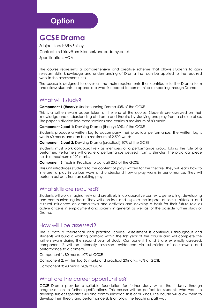# **GCSE Drama**

Subject Lead: Miss Shirley

Contact: mshirley@ormistonhorizonacademy.co.uk Specification: AQA

The course represents a comprehensive and creative scheme that allows students to gain relevant skills, knowledge and understanding of Drama that can be applied to the required work in the assessment units.

The course is designed to cover all the main requirements that contribute to the Drama form and allows students to appreciate what is needed to communicate meaning through Drama.

### What will I study?

**Component 1 (theory):** Understanding Drama 40% of the GCSE

This is a written exam paper taken at the end of the course. Students are assessed on their knowledge and understanding of drama and theatre by studying one play from a choice of six. The paper is divided into three sections and carries a maximum of 80 marks.

**Component 2 part 1:** Devising Drama (theory) 30% of the GCSE

Students produce a written log to accompany their practical performance. The written log is worth 60 marks and can be a maximum of 2,500 words.

**Component 2 part 2:** Devising Drama (practical) 10% of the GCSE

Students must work collaboratively as members of a performance group taking the role of a performer. Performers will create a performance devised from a stimulus. The practical piece holds a maximum of 20 marks.

**Component 3:** Texts in Practice (practical) 20% of the GCSE

This unit introduces students to the content of plays written for the theatre. They will learn how to interpret a play in various ways and understand how a play works in performance. They will perform extracts from an existing play.

### What skills are required?

Students will work imaginatively and creatively in collaborative contexts, generating, developing and communicating ideas. They will consider and explore the impact of social, historical and cultural influences on drama texts and activities and develop a basis for their future role as active citizens in employment and society in general, as well as for the possible further study of Drama.

#### How will I be assessed?

The is both a theoretical and practical course. Assessment is continuous throughout and students will build a working portfolio within the first year of the course and will complete the written exam during the second year of study. Component 1 and 3 are externally assessed, component 2 will be internally assessed, evidenced via submission of coursework and performance to a camera.

Component 1: 80 marks, 40% of GCSE

Component 2: written log 60 marks and practical 20marks, 40% of GCSE

Component 3: 40 marks, 20% of GCSE

### What are the career opportunities?

GCSE Drama provides a suitable foundation for further study within the industry through progression on to further qualifications. This course will be perfect for students who want to develop subject specific skills and communication skills of all kinds. The course will allow them to develop their theory and performance skills or follow the teaching pathway.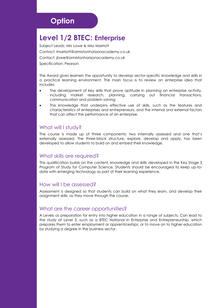## **Level 1/2 BTEC: Enterprise**

Subject Leads: Mrs Lowe & Miss Marriott Contact: lmarriott@ormistonhorizonacademy.co.uk Contact: jlowe@ormistonhorizonacademy.co.uk Specification: Pearson

The Award gives learners the opportunity to develop sector-specific knowledge and skills in a practical learning environment. The main focus is to review an enterprise idea that includes:

- The development of key skills that prove aptitude in planning an enterprise activity, including market research, planning, carrying out financial transactions, communication and problem solving
- The knowledge that underpins effective use of skills, such as the features and characteristics of enterprises and entrepreneurs, and the internal and external factors that can affect the performance of an enterprise.

#### What will I study?

The course is made up of three components: two internally assessed and one that's externally assessed. The three-block structure, explore, develop and apply, has been developed to allow students to build on and embed their knowledge.

#### What skills are required?

This qualification builds on the content, knowledge and skills developed in the Key Stage 3 Program of Study for Computer Science. Students should be encouraged to keep up-todate with emerging technology as part of their learning experience.

#### How will I be assessed?

Assessment is designed so that students can build on what they learn, and develop their assignment skills, as they move through the course.

### What are the career opportunities?

A Levels as preparation for entry into higher education in a range of subjects. Can lead to the study at Level 3, such as a BTEC National in Enterprise and Entrepreneurship, which prepares them to enter employment or apprenticeships, or to move on to higher education by studying a degree in the business sector.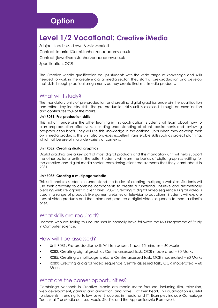# **Level 1/2 Vocational: Creative iMedia**

Subject Leads: Mrs Lowe & Miss Marriott Contact: lmarriott@ormistonhorizonacademy.co.uk Contact: jlowe@ormistonhorizonacademy.co.uk Specification: OCR

The Creative iMedia qualification equips students with the wide range of knowledge and skills needed to work in the creative digital media sector. They start at pre-production and develop their skills through practical assignments as they create final multimedia products.

### What will I study?

The mandatory units of pre-production and creating digital graphics underpin the qualification and reflect key industry skills. The pre-production skills unit is assessed through an examination and contributes 25% of the marks.

#### **Unit R081: Pre-production skills**

This first unit underpins the other learning in this qualification. Students will learn about how to plan preproduction effectively, including understanding of client requirements and reviewing pre-production briefs. They will use this knowledge in the optional units when they develop their own media products. This unit also provides excellent transferable skills such as project planning, which will be useful in a wide variety of contexts.

#### **Unit R082: Creating digital graphics**

Digital graphics are a key part of most digital products and this mandatory unit will help support the other optional units in the suite. Students will learn the basics of digital graphics editing for the creative and digital media sector, considering client requirements that they learnt about in R081.

#### **Unit R085: Creating a multipage website**

This unit enables students to understand the basics of creating multipage websites. Students will use their creativity to combine components to create a functional, intuitive and aesthetically pleasing website against a client brief. R089: Creating a digital video sequence Digital video is used in a range of products like games, websites or television productions. Students will explore uses of video products and then plan and produce a digital video sequence to meet a client's brief.

#### What skills are required?

Learners who are taking this course should normally have followed the KS3 Programme of Study in Computer Science.

#### How will I be assessed?

- Unit R081: Pre-production skills Written paper, 1 hour 15 minutes 60 Marks
- R082: Creating digital graphics Centre assessed task, OCR moderated 60 Marks
- R085: Creating a multipage website Centre assessed task, OCR moderated 60 Marks
- R089: Creating a digital video sequence Centre assessed task, OCR moderated 60 **Marks**

### What are the career opportunities?

Cambridge Nationals in Creative iMedia are media-sector focused, including film, television, web development, gaming and animation, and have IT at their heart. This qualification is useful to students intending to follow Level 3 courses in media and IT. Examples include Cambridge Technical IT or Media courses, Media Studies and the Apprenticeship Framework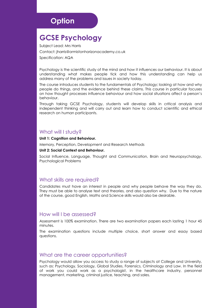# **GCSE Psychology**

Subject Lead: Mrs Harris

Contact: jharris@ormistonhorizonacademy.co.uk Specification: AQA

Psychology is the scientific study of the mind and how it influences our behaviour. It is about understanding what makes people tick and how this understanding can help us address many of the problems and issues in society today.

The course introduces students to the fundamentals of Psychology; looking at how and why people do things, and the evidence behind these claims. This course in particular focuses on how thought processes influence behaviour and how social situations affect a person's behaviour.

Through taking GCSE Psychology, students will develop skills in critical analysis and independent thinking and will carry out and learn how to conduct scientific and ethical research on human participants.

### What will I study?

#### **Unit 1: Cognition and Behaviour.**

Memory, Perception, Development and Research Methods

#### **Unit 2: Social Context and Behaviour.**

Social Influence, Language, Thought and Communication, Brain and Neuropsychology, Psychological Problems

#### What skills are required?

Candidates must have an interest in people and why people behave the way they do. They must be able to analyse text and theories, and also question why. Due to the nature of the course, good English, Maths and Science skills would also be desirable.

#### How will I be assessed?

Assessment is 100% examination. There are two examination papers each lasting 1 hour 45 minutes.

The examination questions include multiple choice, short answer and essay based questions.

### What are the career opportunities?

Psychology would allow you access to study a range of subjects at College and University, such as: Psychology, Sociology, Global Studies, Forensics, Criminology and Law. In the field of work you could work as a psychologist, in the healthcare industry, personnel management, marketing, criminal justice, teaching, and sales.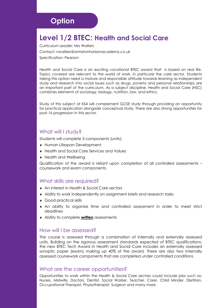# **Level 1/2 BTEC: Health and Social Care**

Curriculum Leader: Mrs Walters Contact: nwalters@ormistonhorizonacademy.co.uk Specification: Pearson

Health and Social Care is an exciting vocational BTEC award that is based on real life. Topics covered are relevant to the world of work, in particular the care sector. Students taking this option need a mature and responsible attitude towards learning as independent study and research into social issues such as drugs, poverty and personal relationships are an important part of the curriculum. As a subject discipline, Health and Social Care (HSC) combines elements of sociology, biology, nutrition, law, and ethics.

Study of this subject at KS4 will complement GCSE study through providing an opportunity for practical application alongside conceptual study. There are also strong opportunities for post-16 progression in this sector.

#### What will I study?

Students will complete 3 components (units):

- Human Lifespan Development
- ◆ Health and Social Care Services and Values
- ◆ Health and Wellbeina

Qualification of the award is reliant upon completion of all controlled assessments – coursework and exam components.

#### What skills are required?

- ◆ An interest in Health & Social Care sectors
- Ability to work independently on assignment briefs and research tasks
- ◆ Good practical skills
- An ability to organise time and controlled assessment in order to meet strict deadlines
- Ability to complete **written** assessments

#### How will I be assessed?

The course is assessed through a combination of internally and externally assessed units. Building on the rigorous assessment standards expected of BTEC qualifications, the new BTEC Tech Award in Health and Social Care includes an externally assessed synoptic paper (exam) making up 40% of the award. There are also two internally assessed coursework components that are completed under controlled conditions.

#### What are the career opportunities?

Opportunities to work within the Health & Social Care sectors could include jobs such as: Nurses, Midwife, Doctors, Dentist, Social Worker, Teacher, Carer, Child Minder, Dietitian, Occupational Therapist, Physiotherapist, Surgeon and many more.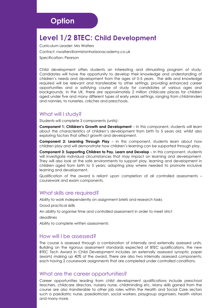# **Level 1/2 BTEC: Child Development**

Curriculum Leader: Mrs Walters Contact: nwalters@ormistonhorizonacademy.co.uk Specification: Pearson

Child development offers students an interesting and stimulating program of study. Candidates will have the opportunity to develop their knowledge and understanding of children's needs and development from the ages of 0-5 years. The skills and knowledge required will be relevant and transferable to other settings, providing enhanced career opportunities and a satisfying course of study for candidates of various ages and backgrounds. In the UK, there are approximately 2 million childcare places for children aged under five and many different types of early years settings, ranging from childminders and nannies, to nurseries, crèches and preschools.

### What will I study?

Students will complete 3 components (units):

**Component 1: Children's Growth and Development** – In this component, students will learn about the characteristics of children's development from birth to 5 years old, whilst also exploring factors that affect growth and development.

**Component 2: Learning Through Play** – In this component, students learn about how children play and will demonstrate how children's learning can be supported through play.

**Component 3: Supporting Children to Pay, Learn and Develop** – In this component, students will investigate individual circumstances that may impact on learning and development. They will also look at the safe environments to support play, learning and development in children aged from birth to 5 years; adapting play where needed to promote inclusive learning and development.

Qualification of the award is reliant upon completion of all controlled assessments – coursework and exam components.

#### What skills are required?

Ability to work independently on assignment briefs and research tasks

Good practical skills

An ability to organise time and controlled assessment in order to meet strict

deadlines

Ability to complete written assessments

#### How will I be assessed?

The course is assessed through a combination of internally and externally assessed units. Building on the rigorous assessment standards expected of BTEC qualifications, the new BTEC Tech Award in Child Development includes an externally assessed synoptic paper (exam) making up 40% of the award. There are also two internally assessed components, each having 2 coursework assignments that are completed under controlled conditions.

#### What are the career opportunities?

Career opportunities leading from child development qualifications include preschool teachers, childcare directors, nursery nurse, childminding etc. Many skills gained from the course are also transferable to other job roles within the Health and Social Care sectors such a paediatric nurse, paediatrician, social workers, playgroup organisers, health visitors and many more.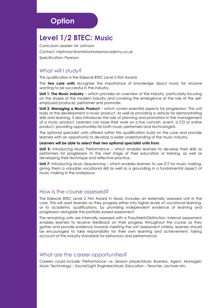# **Level 1/2 BTEC: Music**

Curriculum Leader: Mr Johnson Contact: mjohnson@ormistonhorizonacademy.co.uk Specification: Pearson

### What will I study?

This qualification is the Edexcel BTEC Level 2 First Award.

The **two core units** recognise the importance of knowledge about music for anyone wanting to be successful in the industry.

**Unit 1: The Music Industry** – which provides an overview of the industry, particularly focusing on the shape of the modern industry and covering the emergence of the role of the selfemployed producer, performer and promoter.

**Unit 2: Managing a Music Product** – which covers essential aspects for progression. This unit looks at the development a music product. As well as providing a vehicle for demonstrating skills and learning, it also introduces the role of planning and promotion in the management of a music product. Learners can base their work on a live concert, event, a CD or online product, providing opportunities for both music performers and technologists.

The optional specialist units offered within this qualification build on the core and provide learners with an opportunity to develop a wider understanding of the music industry.

#### **Learners will be able to select their two optional specialist units from**:

**Unit 5:** Introducing Music Performance – which enables learners to develop their skills as performers for progression to the next stage of their education or training, as well as developing their technique and reflective practice.

**Unit 7:** Introducing Music Sequencing – which enables learners to use ICT for music making, giving them a valuable vocational skill as well as a grounding in a fundamental aspect of music making in the workplace.

#### How is the course assessed?

The Edexcel BTEC Level 2 First Award in Music includes an externally assessed unit in the core. This will assist learners as they progress either into higher levels of vocational learning, or to academic qualifications, by providing independent evidence of learning and progression alongside the portfolio-based assessment.

The remaining units are internally assessed with a Pass/Merit/Distinction. Internal assessment enables learners to receive feedback on their progress throughout the course as they gather and provide evidence towards meeting the unit assessment criteria. learners should be encouraged to take responsibility for their own learning and achievement, taking account of the industry standards for behaviour and performance.

### What are the career opportunities?

Careers could include: Performance- i.e. Session player/Music Business, Agent, Manager/ Music Technology – Sound/Light Engineer/Music Education – Teacher, Lecturer etc.